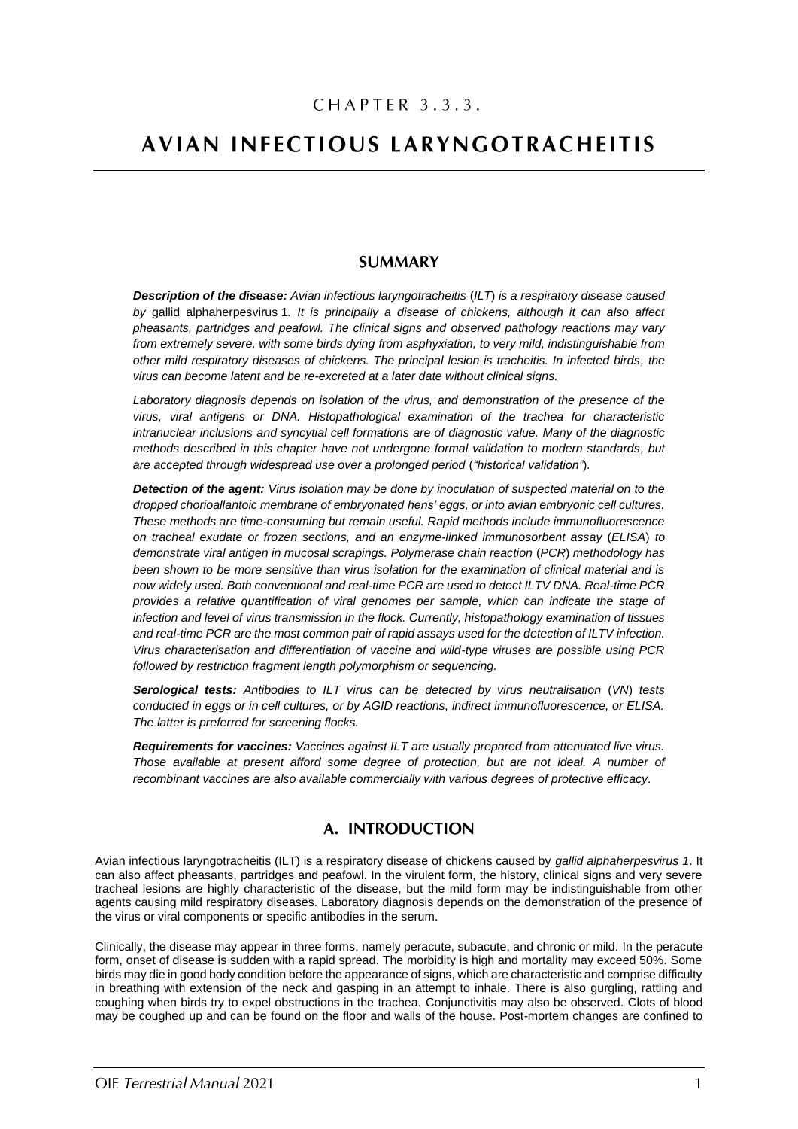# CHAPTER 3.3.3.

# **AVIAN INFECTIOUS LARYNGOTRACHEITIS**

# **SUMMARY**

*Description of the disease: Avian infectious laryngotracheitis* (*ILT*) *is a respiratory disease caused by* gallid alphaherpesvirus 1*. It is principally a disease of chickens, although it can also affect pheasants, partridges and peafowl. The clinical signs and observed pathology reactions may vary from extremely severe, with some birds dying from asphyxiation, to very mild, indistinguishable from other mild respiratory diseases of chickens. The principal lesion is tracheitis. In infected birds, the virus can become latent and be re-excreted at a later date without clinical signs.*

*Laboratory diagnosis depends on isolation of the virus, and demonstration of the presence of the virus, viral antigens or DNA. Histopathological examination of the trachea for characteristic intranuclear inclusions and syncytial cell formations are of diagnostic value. Many of the diagnostic methods described in this chapter have not undergone formal validation to modern standards, but are accepted through widespread use over a prolonged period* (*"historical validation"*)*.*

*Detection of the agent: Virus isolation may be done by inoculation of suspected material on to the dropped chorioallantoic membrane of embryonated hens' eggs, or into avian embryonic cell cultures. These methods are time-consuming but remain useful. Rapid methods include immunofluorescence on tracheal exudate or frozen sections, and an enzyme-linked immunosorbent assay* (*ELISA*) *to demonstrate viral antigen in mucosal scrapings. Polymerase chain reaction* (*PCR*) *methodology has been shown to be more sensitive than virus isolation for the examination of clinical material and is now widely used. Both conventional and real-time PCR are used to detect ILTV DNA. Real-time PCR provides a relative quantification of viral genomes per sample, which can indicate the stage of infection and level of virus transmission in the flock. Currently, histopathology examination of tissues and real-time PCR are the most common pair of rapid assays used for the detection of ILTV infection. Virus characterisation and differentiation of vaccine and wild-type viruses are possible using PCR followed by restriction fragment length polymorphism or sequencing.* 

*Serological tests: Antibodies to ILT virus can be detected by virus neutralisation* (*VN*) *tests conducted in eggs or in cell cultures, or by AGID reactions, indirect immunofluorescence, or ELISA. The latter is preferred for screening flocks.*

*Requirements for vaccines: Vaccines against ILT are usually prepared from attenuated live virus. Those available at present afford some degree of protection, but are not ideal. A number of recombinant vaccines are also available commercially with various degrees of protective efficacy.*

# A. INTRODUCTION

Avian infectious laryngotracheitis (ILT) is a respiratory disease of chickens caused by *gallid alphaherpesvirus 1*. It can also affect pheasants, partridges and peafowl. In the virulent form, the history, clinical signs and very severe tracheal lesions are highly characteristic of the disease, but the mild form may be indistinguishable from other agents causing mild respiratory diseases. Laboratory diagnosis depends on the demonstration of the presence of the virus or viral components or specific antibodies in the serum.

Clinically, the disease may appear in three forms, namely peracute, subacute, and chronic or mild. In the peracute form, onset of disease is sudden with a rapid spread. The morbidity is high and mortality may exceed 50%. Some birds may die in good body condition before the appearance of signs, which are characteristic and comprise difficulty in breathing with extension of the neck and gasping in an attempt to inhale. There is also gurgling, rattling and coughing when birds try to expel obstructions in the trachea. Conjunctivitis may also be observed. Clots of blood may be coughed up and can be found on the floor and walls of the house. Post-mortem changes are confined to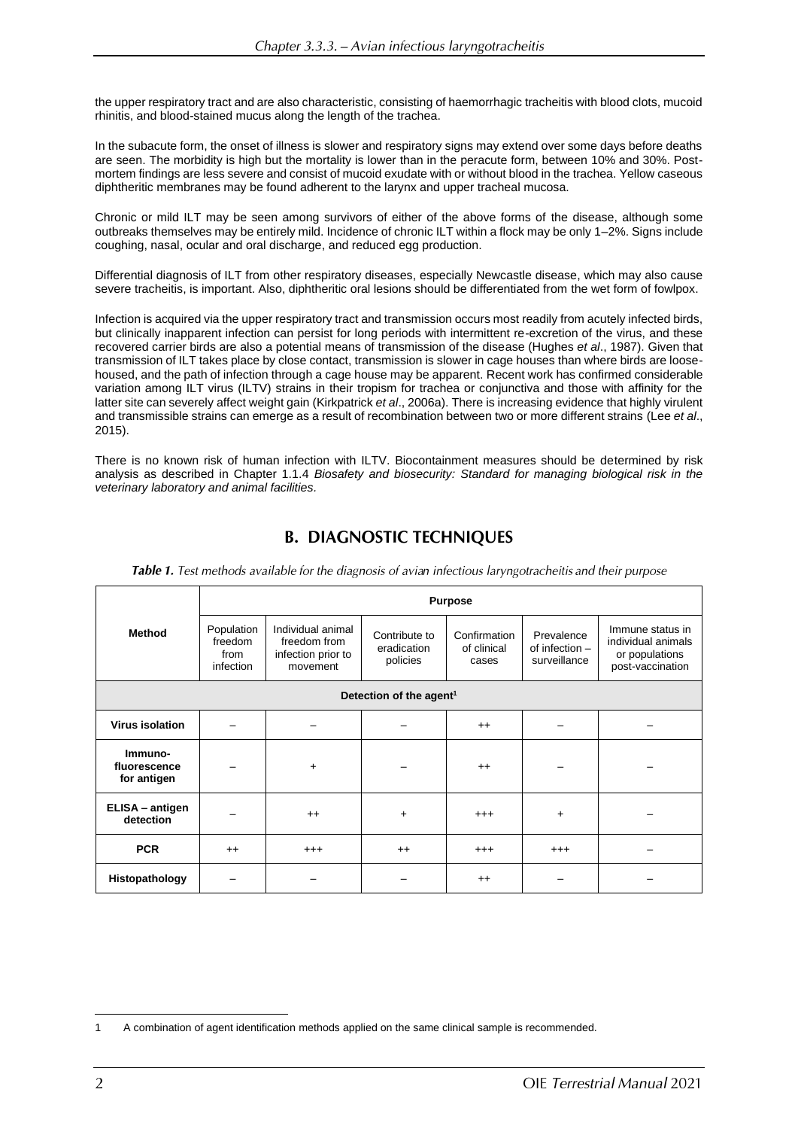the upper respiratory tract and are also characteristic, consisting of haemorrhagic tracheitis with blood clots, mucoid rhinitis, and blood-stained mucus along the length of the trachea.

In the subacute form, the onset of illness is slower and respiratory signs may extend over some days before deaths are seen. The morbidity is high but the mortality is lower than in the peracute form, between 10% and 30%. Postmortem findings are less severe and consist of mucoid exudate with or without blood in the trachea. Yellow caseous diphtheritic membranes may be found adherent to the larynx and upper tracheal mucosa.

Chronic or mild ILT may be seen among survivors of either of the above forms of the disease, although some outbreaks themselves may be entirely mild. Incidence of chronic ILT within a flock may be only 1–2%. Signs include coughing, nasal, ocular and oral discharge, and reduced egg production.

Differential diagnosis of ILT from other respiratory diseases, especially Newcastle disease, which may also cause severe tracheitis, is important. Also, diphtheritic oral lesions should be differentiated from the wet form of fowlpox.

Infection is acquired via the upper respiratory tract and transmission occurs most readily from acutely infected birds, but clinically inapparent infection can persist for long periods with intermittent re-excretion of the virus, and these recovered carrier birds are also a potential means of transmission of the disease (Hughes *et al*., 1987). Given that transmission of ILT takes place by close contact, transmission is slower in cage houses than where birds are loosehoused, and the path of infection through a cage house may be apparent. Recent work has confirmed considerable variation among ILT virus (ILTV) strains in their tropism for trachea or conjunctiva and those with affinity for the latter site can severely affect weight gain (Kirkpatrick *et al*., 2006a). There is increasing evidence that highly virulent and transmissible strains can emerge as a result of recombination between two or more different strains (Lee *et al*., 2015).

There is no known risk of human infection with ILTV. Biocontainment measures should be determined by risk analysis as described in Chapter 1.1.4 *Biosafety and biosecurity: Standard for managing biological risk in the veterinary laboratory and animal facilities.*

# **B. DIAGNOSTIC TECHNIQUES**

|                                        | <b>Purpose</b>                             |                                                                     |                                          |                                      |                                              |                                                                              |  |  |  |  |
|----------------------------------------|--------------------------------------------|---------------------------------------------------------------------|------------------------------------------|--------------------------------------|----------------------------------------------|------------------------------------------------------------------------------|--|--|--|--|
| <b>Method</b>                          | Population<br>freedom<br>from<br>infection | Individual animal<br>freedom from<br>infection prior to<br>movement | Contribute to<br>eradication<br>policies | Confirmation<br>of clinical<br>cases | Prevalence<br>of infection -<br>surveillance | Immune status in<br>individual animals<br>or populations<br>post-vaccination |  |  |  |  |
| Detection of the agent <sup>1</sup>    |                                            |                                                                     |                                          |                                      |                                              |                                                                              |  |  |  |  |
| <b>Virus isolation</b>                 |                                            |                                                                     |                                          | $++$                                 |                                              |                                                                              |  |  |  |  |
| Immuno-<br>fluorescence<br>for antigen |                                            | $\ddot{}$                                                           |                                          | $^{++}$                              |                                              |                                                                              |  |  |  |  |
| ELISA - antigen<br>detection           |                                            | $++$                                                                | +                                        | $^{+++}$                             | $\ddot{}$                                    |                                                                              |  |  |  |  |
| <b>PCR</b>                             | $++$                                       | $^{+++}$                                                            | $++$                                     | $^{+++}$                             | $^{+++}$                                     |                                                                              |  |  |  |  |
| Histopathology                         |                                            |                                                                     |                                          | $++$                                 |                                              |                                                                              |  |  |  |  |

Table 1. Test methods available for the diagnosis of avian infectious laryngotracheitis and their purpose

<sup>1</sup> A combination of agent identification methods applied on the same clinical sample is recommended.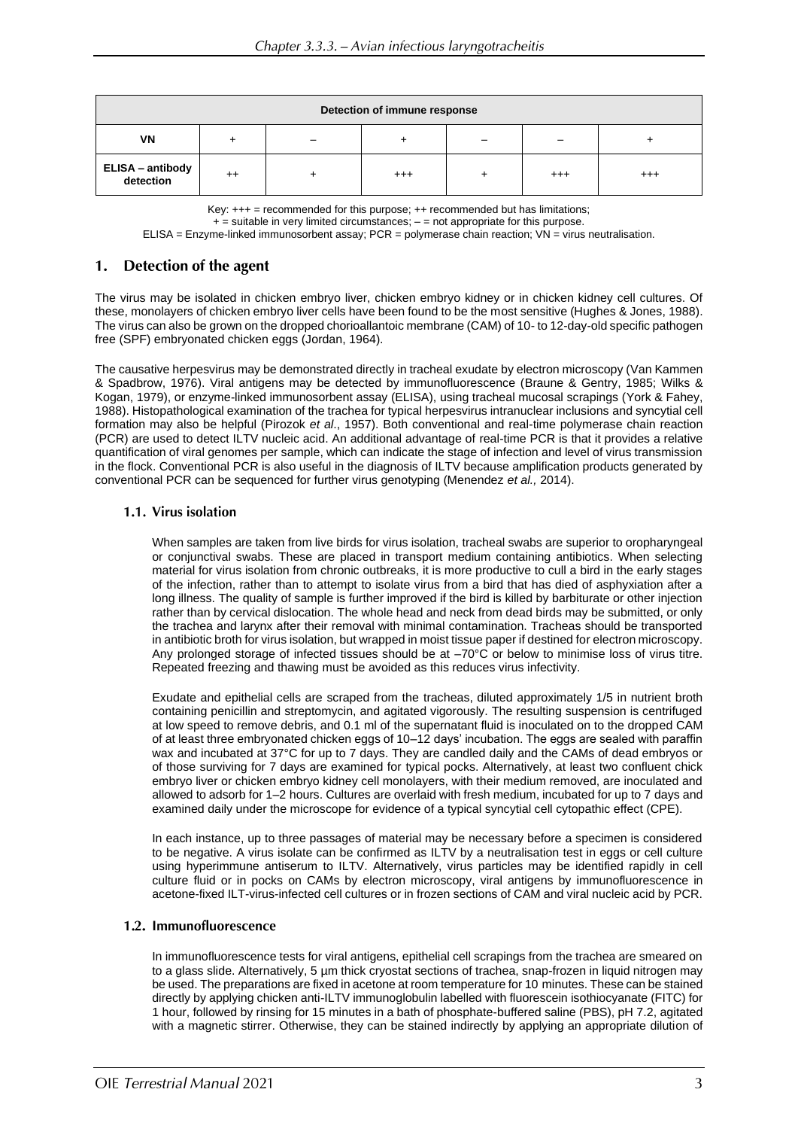| Detection of immune response  |      |  |          |  |         |         |  |  |  |
|-------------------------------|------|--|----------|--|---------|---------|--|--|--|
| VN                            |      |  |          |  |         |         |  |  |  |
| ELISA – antibody<br>detection | $++$ |  | $^{+++}$ |  | $^{++}$ | $^{++}$ |  |  |  |

Key:  $+++$  = recommended for this purpose;  $++$  recommended but has limitations;

 $+$  = suitable in very limited circumstances;  $-$  = not appropriate for this purpose.

ELISA = Enzyme-linked immunosorbent assay; PCR = polymerase chain reaction; VN = virus neutralisation.

#### Detection of the agent  $1.$

The virus may be isolated in chicken embryo liver, chicken embryo kidney or in chicken kidney cell cultures. Of these, monolayers of chicken embryo liver cells have been found to be the most sensitive (Hughes & Jones, 1988). The virus can also be grown on the dropped chorioallantoic membrane (CAM) of 10- to 12-day-old specific pathogen free (SPF) embryonated chicken eggs (Jordan, 1964).

The causative herpesvirus may be demonstrated directly in tracheal exudate by electron microscopy (Van Kammen & Spadbrow, 1976). Viral antigens may be detected by immunofluorescence (Braune & Gentry, 1985; Wilks & Kogan, 1979), or enzyme-linked immunosorbent assay (ELISA), using tracheal mucosal scrapings (York & Fahey, 1988). Histopathological examination of the trachea for typical herpesvirus intranuclear inclusions and syncytial cell formation may also be helpful (Pirozok *et al*., 1957). Both conventional and real-time polymerase chain reaction (PCR) are used to detect ILTV nucleic acid. An additional advantage of real-time PCR is that it provides a relative quantification of viral genomes per sample, which can indicate the stage of infection and level of virus transmission in the flock. Conventional PCR is also useful in the diagnosis of ILTV because amplification products generated by conventional PCR can be sequenced for further virus genotyping (Menendez *et al.,* 2014).

## 1.1. Virus isolation

When samples are taken from live birds for virus isolation, tracheal swabs are superior to oropharyngeal or conjunctival swabs. These are placed in transport medium containing antibiotics. When selecting material for virus isolation from chronic outbreaks, it is more productive to cull a bird in the early stages of the infection, rather than to attempt to isolate virus from a bird that has died of asphyxiation after a long illness. The quality of sample is further improved if the bird is killed by barbiturate or other injection rather than by cervical dislocation. The whole head and neck from dead birds may be submitted, or only the trachea and larynx after their removal with minimal contamination. Tracheas should be transported in antibiotic broth for virus isolation, but wrapped in moist tissue paper if destined for electron microscopy. Any prolonged storage of infected tissues should be at  $-70^{\circ}$ C or below to minimise loss of virus titre. Repeated freezing and thawing must be avoided as this reduces virus infectivity.

Exudate and epithelial cells are scraped from the tracheas, diluted approximately 1/5 in nutrient broth containing penicillin and streptomycin, and agitated vigorously. The resulting suspension is centrifuged at low speed to remove debris, and 0.1 ml of the supernatant fluid is inoculated on to the dropped CAM of at least three embryonated chicken eggs of 10–12 days' incubation. The eggs are sealed with paraffin wax and incubated at 37°C for up to 7 days. They are candled daily and the CAMs of dead embryos or of those surviving for 7 days are examined for typical pocks. Alternatively, at least two confluent chick embryo liver or chicken embryo kidney cell monolayers, with their medium removed, are inoculated and allowed to adsorb for 1–2 hours. Cultures are overlaid with fresh medium, incubated for up to 7 days and examined daily under the microscope for evidence of a typical syncytial cell cytopathic effect (CPE).

In each instance, up to three passages of material may be necessary before a specimen is considered to be negative. A virus isolate can be confirmed as ILTV by a neutralisation test in eggs or cell culture using hyperimmune antiserum to ILTV. Alternatively, virus particles may be identified rapidly in cell culture fluid or in pocks on CAMs by electron microscopy, viral antigens by immunofluorescence in acetone-fixed ILT-virus-infected cell cultures or in frozen sections of CAM and viral nucleic acid by PCR.

#### 1.2. Immunofluorescence

In immunofluorescence tests for viral antigens, epithelial cell scrapings from the trachea are smeared on to a glass slide. Alternatively, 5 µm thick cryostat sections of trachea, snap-frozen in liquid nitrogen may be used. The preparations are fixed in acetone at room temperature for 10 minutes. These can be stained directly by applying chicken anti-ILTV immunoglobulin labelled with fluorescein isothiocyanate (FITC) for 1 hour, followed by rinsing for 15 minutes in a bath of phosphate-buffered saline (PBS), pH 7.2, agitated with a magnetic stirrer. Otherwise, they can be stained indirectly by applying an appropriate dilution of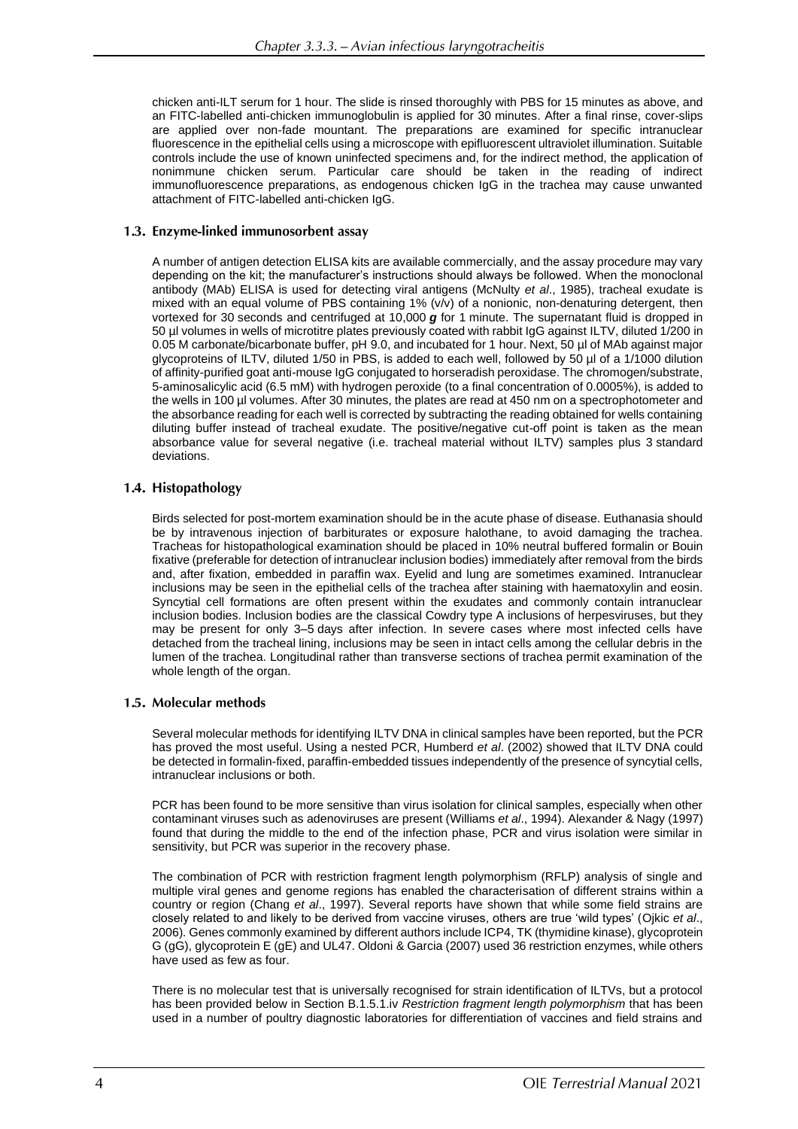chicken anti-ILT serum for 1 hour. The slide is rinsed thoroughly with PBS for 15 minutes as above, and an FITC-labelled anti-chicken immunoglobulin is applied for 30 minutes. After a final rinse, cover-slips are applied over non-fade mountant. The preparations are examined for specific intranuclear fluorescence in the epithelial cells using a microscope with epifluorescent ultraviolet illumination. Suitable controls include the use of known uninfected specimens and, for the indirect method, the application of nonimmune chicken serum. Particular care should be taken in the reading of indirect immunofluorescence preparations, as endogenous chicken IgG in the trachea may cause unwanted attachment of FITC-labelled anti-chicken IgG.

## 1.3. Enzyme-linked immunosorbent assay

A number of antigen detection ELISA kits are available commercially, and the assay procedure may vary depending on the kit; the manufacturer's instructions should always be followed. When the monoclonal antibody (MAb) ELISA is used for detecting viral antigens (McNulty *et al*., 1985), tracheal exudate is mixed with an equal volume of PBS containing 1% (v/v) of a nonionic, non-denaturing detergent, then vortexed for 30 seconds and centrifuged at 10,000 *g* for 1 minute. The supernatant fluid is dropped in 50 µl volumes in wells of microtitre plates previously coated with rabbit IgG against ILTV, diluted 1/200 in 0.05 M carbonate/bicarbonate buffer, pH 9.0, and incubated for 1 hour. Next, 50 µl of MAb against major glycoproteins of ILTV, diluted 1/50 in PBS, is added to each well, followed by 50 µl of a 1/1000 dilution of affinity-purified goat anti-mouse IgG conjugated to horseradish peroxidase. The chromogen/substrate, 5-aminosalicylic acid (6.5 mM) with hydrogen peroxide (to a final concentration of 0.0005%), is added to the wells in 100 µl volumes. After 30 minutes, the plates are read at 450 nm on a spectrophotometer and the absorbance reading for each well is corrected by subtracting the reading obtained for wells containing diluting buffer instead of tracheal exudate. The positive/negative cut-off point is taken as the mean absorbance value for several negative (i.e. tracheal material without ILTV) samples plus 3 standard deviations.

## 1.4. Histopathology

Birds selected for post-mortem examination should be in the acute phase of disease. Euthanasia should be by intravenous injection of barbiturates or exposure halothane, to avoid damaging the trachea. Tracheas for histopathological examination should be placed in 10% neutral buffered formalin or Bouin fixative (preferable for detection of intranuclear inclusion bodies) immediately after removal from the birds and, after fixation, embedded in paraffin wax. Eyelid and lung are sometimes examined. Intranuclear inclusions may be seen in the epithelial cells of the trachea after staining with haematoxylin and eosin. Syncytial cell formations are often present within the exudates and commonly contain intranuclear inclusion bodies. Inclusion bodies are the classical Cowdry type A inclusions of herpesviruses, but they may be present for only 3–5 days after infection. In severe cases where most infected cells have detached from the tracheal lining, inclusions may be seen in intact cells among the cellular debris in the lumen of the trachea. Longitudinal rather than transverse sections of trachea permit examination of the whole length of the organ.

# 1.5. Molecular methods

Several molecular methods for identifying ILTV DNA in clinical samples have been reported, but the PCR has proved the most useful. Using a nested PCR, Humberd *et al*. (2002) showed that ILTV DNA could be detected in formalin-fixed, paraffin-embedded tissues independently of the presence of syncytial cells, intranuclear inclusions or both.

PCR has been found to be more sensitive than virus isolation for clinical samples, especially when other contaminant viruses such as adenoviruses are present (Williams *et al*., 1994). Alexander & Nagy (1997) found that during the middle to the end of the infection phase, PCR and virus isolation were similar in sensitivity, but PCR was superior in the recovery phase.

The combination of PCR with restriction fragment length polymorphism (RFLP) analysis of single and multiple viral genes and genome regions has enabled the characterisation of different strains within a country or region (Chang *et al*., 1997). Several reports have shown that while some field strains are closely related to and likely to be derived from vaccine viruses, others are true 'wild types' (Ojkic *et al*., 2006)*.* Genes commonly examined by different authors include ICP4, TK (thymidine kinase), glycoprotein G (gG), glycoprotein E (gE) and UL47. Oldoni & Garcia (2007) used 36 restriction enzymes, while others have used as few as four.

There is no molecular test that is universally recognised for strain identification of ILTVs, but a protocol has been provided below in Section B.1.5.1.iv *Restriction fragment length polymorphism* that has been used in a number of poultry diagnostic laboratories for differentiation of vaccines and field strains and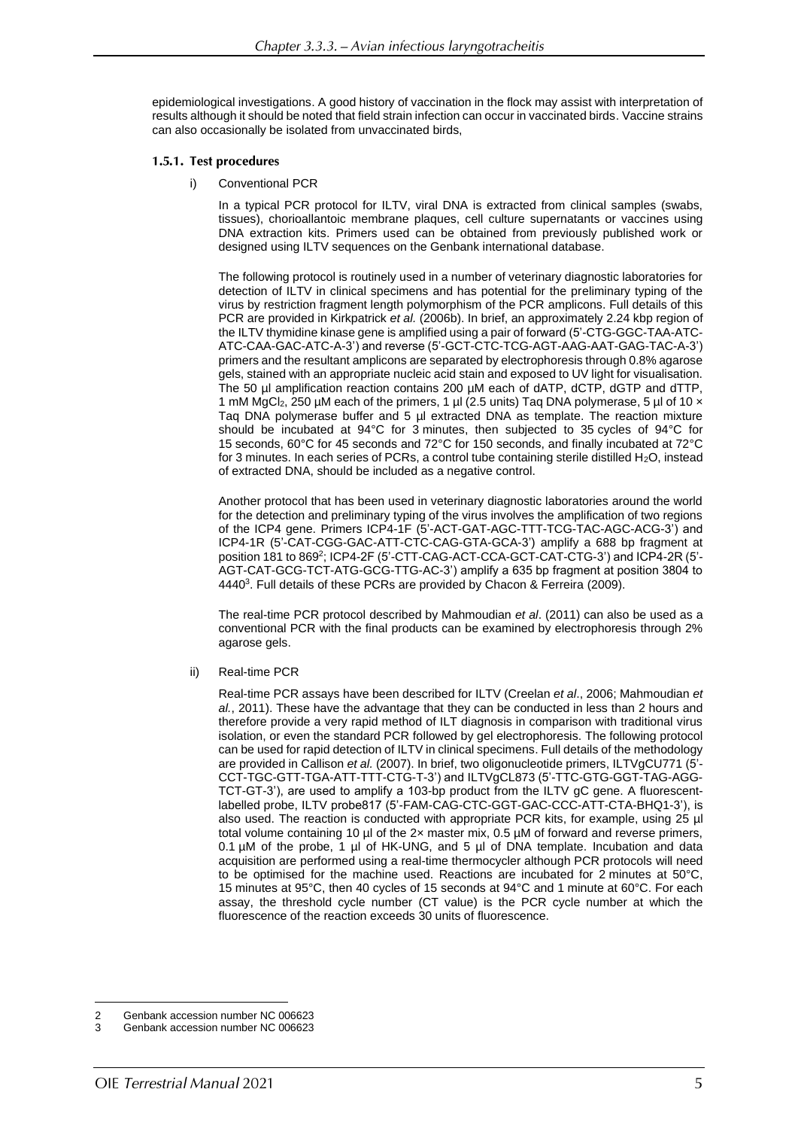epidemiological investigations. A good history of vaccination in the flock may assist with interpretation of results although it should be noted that field strain infection can occur in vaccinated birds. Vaccine strains can also occasionally be isolated from unvaccinated birds,

#### 1.5.1. Test procedures

i) Conventional PCR

In a typical PCR protocol for ILTV, viral DNA is extracted from clinical samples (swabs, tissues), chorioallantoic membrane plaques, cell culture supernatants or vaccines using DNA extraction kits. Primers used can be obtained from previously published work or designed using ILTV sequences on the Genbank international database.

The following protocol is routinely used in a number of veterinary diagnostic laboratories for detection of ILTV in clinical specimens and has potential for the preliminary typing of the virus by restriction fragment length polymorphism of the PCR amplicons. Full details of this PCR are provided in Kirkpatrick *et al.* (2006b). In brief, an approximately 2.24 kbp region of the ILTV thymidine kinase gene is amplified using a pair of forward (5'-CTG-GGC-TAA-ATC-ATC-CAA-GAC-ATC-A-3') and reverse (5'-GCT-CTC-TCG-AGT-AAG-AAT-GAG-TAC-A-3') primers and the resultant amplicons are separated by electrophoresis through 0.8% agarose gels, stained with an appropriate nucleic acid stain and exposed to UV light for visualisation. The 50 µl amplification reaction contains 200 µM each of dATP, dCTP, dGTP and dTTP, 1 mM MgCl<sub>2</sub>, 250 µM each of the primers, 1 µl (2.5 units) Taq DNA polymerase, 5 µl of 10  $\times$ Taq DNA polymerase buffer and 5 µl extracted DNA as template. The reaction mixture should be incubated at 94°C for 3 minutes, then subjected to 35 cycles of 94°C for 15 seconds, 60°C for 45 seconds and 72°C for 150 seconds, and finally incubated at 72°C for 3 minutes. In each series of PCRs, a control tube containing sterile distilled  $H_2O$ , instead of extracted DNA, should be included as a negative control.

Another protocol that has been used in veterinary diagnostic laboratories around the world for the detection and preliminary typing of the virus involves the amplification of two regions of the ICP4 gene. Primers ICP4-1F (5'-ACT-GAT-AGC-TTT-TCG-TAC-AGC-ACG-3') and ICP4-1R (5'-CAT-CGG-GAC-ATT-CTC-CAG-GTA-GCA-3') amplify a 688 bp fragment at position 181 to 869<sup>2</sup> ; ICP4-2F (5'-CTT-CAG-ACT-CCA-GCT-CAT-CTG-3') and ICP4-2R (5'- AGT-CAT-GCG-TCT-ATG-GCG-TTG-AC-3') amplify a 635 bp fragment at position 3804 to 4440<sup>3</sup>. Full details of these PCRs are provided by Chacon & Ferreira (2009).

The real-time PCR protocol described by Mahmoudian *et al*. (2011) can also be used as a conventional PCR with the final products can be examined by electrophoresis through 2% agarose gels.

ii) Real-time PCR

Real-time PCR assays have been described for ILTV (Creelan *et al*., 2006; Mahmoudian *et al.*, 2011). These have the advantage that they can be conducted in less than 2 hours and therefore provide a very rapid method of ILT diagnosis in comparison with traditional virus isolation, or even the standard PCR followed by gel electrophoresis. The following protocol can be used for rapid detection of ILTV in clinical specimens. Full details of the methodology are provided in Callison *et al.* (2007). In brief, two oligonucleotide primers, ILTVgCU771 (5'- CCT-TGC-GTT-TGA-ATT-TTT-CTG-T-3') and ILTVgCL873 (5'-TTC-GTG-GGT-TAG-AGG-TCT-GT-3'), are used to amplify a 103-bp product from the ILTV gC gene. A fluorescentlabelled probe, ILTV probe817 (5'-FAM-CAG-CTC-GGT-GAC-CCC-ATT-CTA-BHQ1-3'), is also used. The reaction is conducted with appropriate PCR kits, for example, using 25 µl total volume containing 10  $\mu$ l of the 2x master mix, 0.5  $\mu$ M of forward and reverse primers, 0.1  $\mu$ M of the probe, 1  $\mu$ l of HK-UNG, and 5  $\mu$ l of DNA template. Incubation and data acquisition are performed using a real-time thermocycler although PCR protocols will need to be optimised for the machine used. Reactions are incubated for 2 minutes at 50°C, 15 minutes at 95°C, then 40 cycles of 15 seconds at 94°C and 1 minute at 60°C. For each assay, the threshold cycle number (CT value) is the PCR cycle number at which the fluorescence of the reaction exceeds 30 units of fluorescence.

<sup>2</sup> Genbank accession number NC 006623<br>3 Genbank accession number NC 006623

<sup>3</sup> Genbank accession number NC 006623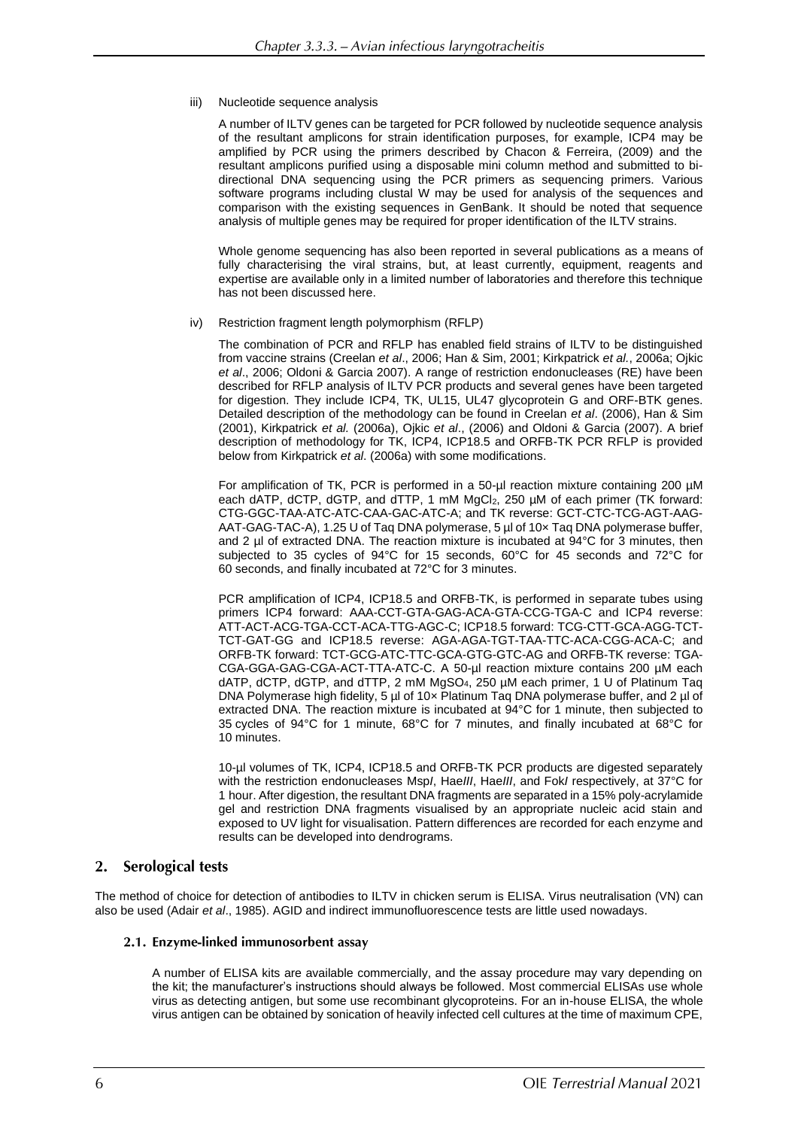#### iii) Nucleotide sequence analysis

A number of ILTV genes can be targeted for PCR followed by nucleotide sequence analysis of the resultant amplicons for strain identification purposes, for example, ICP4 may be amplified by PCR using the primers described by Chacon & Ferreira, (2009) and the resultant amplicons purified using a disposable mini column method and submitted to bidirectional DNA sequencing using the PCR primers as sequencing primers. Various software programs including clustal W may be used for analysis of the sequences and comparison with the existing sequences in GenBank. It should be noted that sequence analysis of multiple genes may be required for proper identification of the ILTV strains.

Whole genome sequencing has also been reported in several publications as a means of fully characterising the viral strains, but, at least currently, equipment, reagents and expertise are available only in a limited number of laboratories and therefore this technique has not been discussed here.

#### iv) Restriction fragment length polymorphism (RFLP)

The combination of PCR and RFLP has enabled field strains of ILTV to be distinguished from vaccine strains (Creelan *et al*., 2006; Han & Sim, 2001; Kirkpatrick *et al.*, 2006a; Ojkic *et al*., 2006; Oldoni & Garcia 2007). A range of restriction endonucleases (RE) have been described for RFLP analysis of ILTV PCR products and several genes have been targeted for digestion. They include ICP4, TK, UL15, UL47 glycoprotein G and ORF-BTK genes. Detailed description of the methodology can be found in Creelan *et al*. (2006), Han & Sim (2001), Kirkpatrick *et al.* (2006a), Ojkic *et al*., (2006) and Oldoni & Garcia (2007). A brief description of methodology for TK, ICP4, ICP18.5 and ORFB-TK PCR RFLP is provided below from Kirkpatrick *et al*. (2006a) with some modifications.

For amplification of TK, PCR is performed in a 50-µl reaction mixture containing 200 µM each dATP, dCTP, dGTP, and dTTP, 1 mM MgC $l_2$ , 250  $\mu$ M of each primer (TK forward: CTG-GGC-TAA-ATC-ATC-CAA-GAC-ATC-A; and TK reverse: GCT-CTC-TCG-AGT-AAG-AAT-GAG-TAC-A), 1.25 U of Taq DNA polymerase, 5 µl of 10× Taq DNA polymerase buffer, and 2  $\mu$  of extracted DNA. The reaction mixture is incubated at 94 $\degree$ C for 3 minutes, then subjected to 35 cycles of 94°C for 15 seconds, 60°C for 45 seconds and 72°C for 60 seconds, and finally incubated at 72°C for 3 minutes.

PCR amplification of ICP4, ICP18.5 and ORFB-TK, is performed in separate tubes using primers ICP4 forward: AAA-CCT-GTA-GAG-ACA-GTA-CCG-TGA-C and ICP4 reverse: ATT-ACT-ACG-TGA-CCT-ACA-TTG-AGC-C; ICP18.5 forward: TCG-CTT-GCA-AGG-TCT-TCT-GAT-GG and ICP18.5 reverse: AGA-AGA-TGT-TAA-TTC-ACA-CGG-ACA-C; and ORFB-TK forward: TCT-GCG-ATC-TTC-GCA-GTG-GTC-AG and ORFB-TK reverse: TGA-CGA-GGA-GAG-CGA-ACT-TTA-ATC-C. A 50-µl reaction mixture contains 200 µM each dATP, dCTP, dGTP, and dTTP, 2 mM MgSO4, 250 µM each primer, 1 U of Platinum Taq DNA Polymerase high fidelity, 5 µl of 10x Platinum Taq DNA polymerase buffer, and 2 µl of extracted DNA. The reaction mixture is incubated at 94°C for 1 minute, then subjected to 35 cycles of 94°C for 1 minute, 68°C for 7 minutes, and finally incubated at 68°C for 10 minutes.

10-µl volumes of TK, ICP4, ICP18.5 and ORFB-TK PCR products are digested separately with the restriction endonucleases Msp*I*, Hae*III*, Hae*III*, and Fok*I* respectively, at 37°C for 1 hour. After digestion, the resultant DNA fragments are separated in a 15% poly-acrylamide gel and restriction DNA fragments visualised by an appropriate nucleic acid stain and exposed to UV light for visualisation. Pattern differences are recorded for each enzyme and results can be developed into dendrograms.

#### **Serological tests** 2.

The method of choice for detection of antibodies to ILTV in chicken serum is ELISA. Virus neutralisation (VN) can also be used (Adair *et al*., 1985). AGID and indirect immunofluorescence tests are little used nowadays.

#### 2.1. Enzyme-linked immunosorbent assay

A number of ELISA kits are available commercially, and the assay procedure may vary depending on the kit; the manufacturer's instructions should always be followed. Most commercial ELISAs use whole virus as detecting antigen, but some use recombinant glycoproteins. For an in-house ELISA, the whole virus antigen can be obtained by sonication of heavily infected cell cultures at the time of maximum CPE,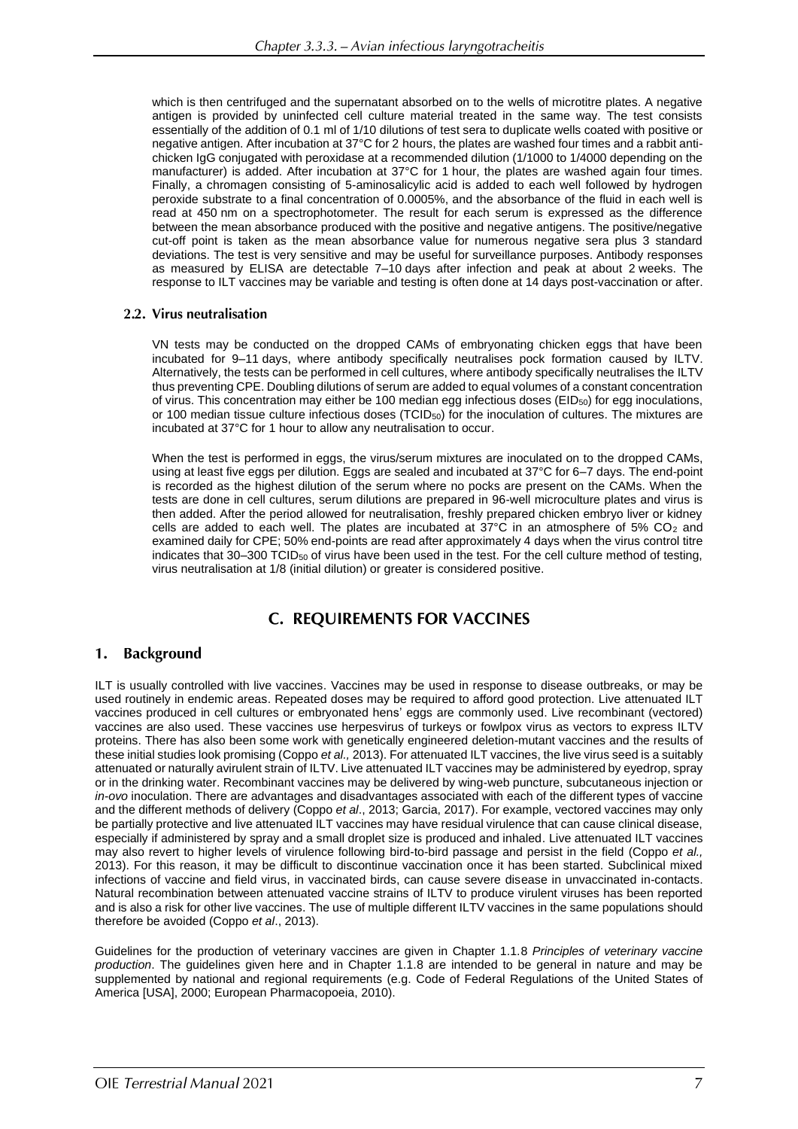which is then centrifuged and the supernatant absorbed on to the wells of microtitre plates. A negative antigen is provided by uninfected cell culture material treated in the same way. The test consists essentially of the addition of 0.1 ml of 1/10 dilutions of test sera to duplicate wells coated with positive or negative antigen. After incubation at 37°C for 2 hours, the plates are washed four times and a rabbit antichicken IgG conjugated with peroxidase at a recommended dilution (1/1000 to 1/4000 depending on the manufacturer) is added. After incubation at 37°C for 1 hour, the plates are washed again four times. Finally, a chromagen consisting of 5-aminosalicylic acid is added to each well followed by hydrogen peroxide substrate to a final concentration of 0.0005%, and the absorbance of the fluid in each well is read at 450 nm on a spectrophotometer. The result for each serum is expressed as the difference between the mean absorbance produced with the positive and negative antigens. The positive/negative cut-off point is taken as the mean absorbance value for numerous negative sera plus 3 standard deviations. The test is very sensitive and may be useful for surveillance purposes. Antibody responses as measured by ELISA are detectable 7–10 days after infection and peak at about 2 weeks. The response to ILT vaccines may be variable and testing is often done at 14 days post-vaccination or after.

## 2.2. Virus neutralisation

VN tests may be conducted on the dropped CAMs of embryonating chicken eggs that have been incubated for 9–11 days, where antibody specifically neutralises pock formation caused by ILTV. Alternatively, the tests can be performed in cell cultures, where antibody specifically neutralises the ILTV thus preventing CPE. Doubling dilutions of serum are added to equal volumes of a constant concentration of virus. This concentration may either be 100 median egg infectious doses (EID<sub>50</sub>) for egg inoculations, or 100 median tissue culture infectious doses (TCID<sub>50</sub>) for the inoculation of cultures. The mixtures are incubated at 37°C for 1 hour to allow any neutralisation to occur.

When the test is performed in eggs, the virus/serum mixtures are inoculated on to the dropped CAMs, using at least five eggs per dilution. Eggs are sealed and incubated at 37°C for 6–7 days. The end-point is recorded as the highest dilution of the serum where no pocks are present on the CAMs. When the tests are done in cell cultures, serum dilutions are prepared in 96-well microculture plates and virus is then added. After the period allowed for neutralisation, freshly prepared chicken embryo liver or kidney cells are added to each well. The plates are incubated at  $37^{\circ}$ C in an atmosphere of 5% CO<sub>2</sub> and examined daily for CPE; 50% end-points are read after approximately 4 days when the virus control titre indicates that  $30-300$  TCID<sub>50</sub> of virus have been used in the test. For the cell culture method of testing, virus neutralisation at 1/8 (initial dilution) or greater is considered positive.

# **C. REQUIREMENTS FOR VACCINES**

#### $1.$ **Background**

ILT is usually controlled with live vaccines. Vaccines may be used in response to disease outbreaks, or may be used routinely in endemic areas. Repeated doses may be required to afford good protection. Live attenuated ILT vaccines produced in cell cultures or embryonated hens' eggs are commonly used. Live recombinant (vectored) vaccines are also used. These vaccines use herpesvirus of turkeys or fowlpox virus as vectors to express ILTV proteins. There has also been some work with genetically engineered deletion-mutant vaccines and the results of these initial studies look promising (Coppo *et al.,* 2013). For attenuated ILT vaccines, the live virus seed is a suitably attenuated or naturally avirulent strain of ILTV. Live attenuated ILT vaccines may be administered by eyedrop, spray or in the drinking water. Recombinant vaccines may be delivered by wing-web puncture, subcutaneous injection or *in-ovo* inoculation. There are advantages and disadvantages associated with each of the different types of vaccine and the different methods of delivery (Coppo *et al*., 2013; Garcia, 2017). For example, vectored vaccines may only be partially protective and live attenuated ILT vaccines may have residual virulence that can cause clinical disease, especially if administered by spray and a small droplet size is produced and inhaled. Live attenuated ILT vaccines may also revert to higher levels of virulence following bird-to-bird passage and persist in the field (Coppo *et al.,* 2013). For this reason, it may be difficult to discontinue vaccination once it has been started. Subclinical mixed infections of vaccine and field virus, in vaccinated birds, can cause severe disease in unvaccinated in-contacts. Natural recombination between attenuated vaccine strains of ILTV to produce virulent viruses has been reported and is also a risk for other live vaccines. The use of multiple different ILTV vaccines in the same populations should therefore be avoided (Coppo *et al*., 2013).

Guidelines for the production of veterinary vaccines are given in Chapter 1.1.8 *Principles of veterinary vaccine production*. The guidelines given here and in Chapter 1.1.8 are intended to be general in nature and may be supplemented by national and regional requirements (e.g. Code of Federal Regulations of the United States of America [USA], 2000; European Pharmacopoeia, 2010).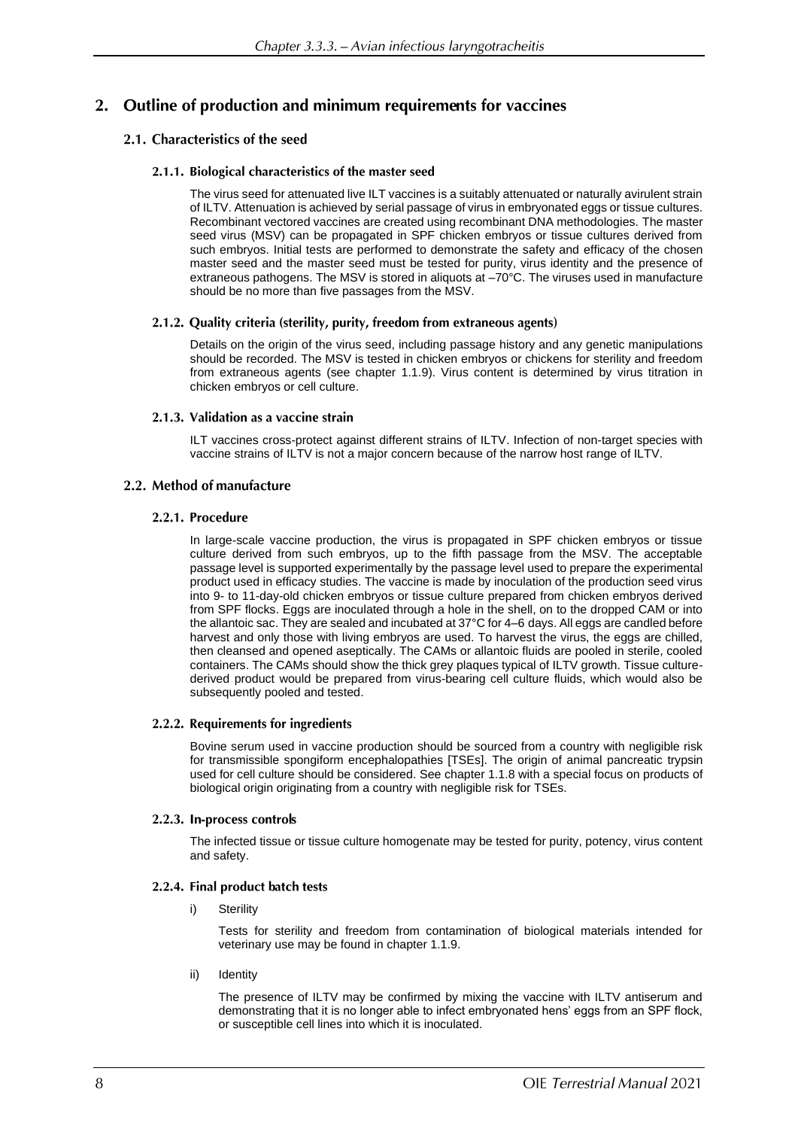# 2. Outline of production and minimum requirements for vaccines

# 2.1. Characteristics of the seed

## 2.1.1. Biological characteristics of the master seed

The virus seed for attenuated live ILT vaccines is a suitably attenuated or naturally avirulent strain of ILTV. Attenuation is achieved by serial passage of virus in embryonated eggs or tissue cultures. Recombinant vectored vaccines are created using recombinant DNA methodologies. The master seed virus (MSV) can be propagated in SPF chicken embryos or tissue cultures derived from such embryos. Initial tests are performed to demonstrate the safety and efficacy of the chosen master seed and the master seed must be tested for purity, virus identity and the presence of extraneous pathogens. The MSV is stored in aliquots at –70°C. The viruses used in manufacture should be no more than five passages from the MSV.

## 2.1.2. Quality criteria (sterility, purity, freedom from extraneous agents)

Details on the origin of the virus seed, including passage history and any genetic manipulations should be recorded. The MSV is tested in chicken embryos or chickens for sterility and freedom from extraneous agents (see chapter 1.1.9). Virus content is determined by virus titration in chicken embryos or cell culture.

## 2.1.3. Validation as a vaccine strain

ILT vaccines cross-protect against different strains of ILTV. Infection of non-target species with vaccine strains of ILTV is not a major concern because of the narrow host range of ILTV.

# 2.2. Method of manufacture

## 2.2.1. Procedure

In large-scale vaccine production, the virus is propagated in SPF chicken embryos or tissue culture derived from such embryos, up to the fifth passage from the MSV. The acceptable passage level is supported experimentally by the passage level used to prepare the experimental product used in efficacy studies. The vaccine is made by inoculation of the production seed virus into 9- to 11-day-old chicken embryos or tissue culture prepared from chicken embryos derived from SPF flocks. Eggs are inoculated through a hole in the shell, on to the dropped CAM or into the allantoic sac. They are sealed and incubated at 37°C for 4–6 days. All eggs are candled before harvest and only those with living embryos are used. To harvest the virus, the eggs are chilled, then cleansed and opened aseptically. The CAMs or allantoic fluids are pooled in sterile, cooled containers. The CAMs should show the thick grey plaques typical of ILTV growth. Tissue culturederived product would be prepared from virus-bearing cell culture fluids, which would also be subsequently pooled and tested.

# 2.2.2. Requirements for ingredients

Bovine serum used in vaccine production should be sourced from a country with negligible risk for transmissible spongiform encephalopathies [TSEs]. The origin of animal pancreatic trypsin used for cell culture should be considered. See chapter 1.1.8 with a special focus on products of biological origin originating from a country with negligible risk for TSEs.

# 2.2.3. In-process controls

The infected tissue or tissue culture homogenate may be tested for purity, potency, virus content and safety.

# 2.2.4. Final product batch tests

i) Sterility

Tests for sterility and freedom from contamination of biological materials intended for veterinary use may be found in chapter 1.1.9.

ii) Identity

The presence of ILTV may be confirmed by mixing the vaccine with ILTV antiserum and demonstrating that it is no longer able to infect embryonated hens' eggs from an SPF flock, or susceptible cell lines into which it is inoculated.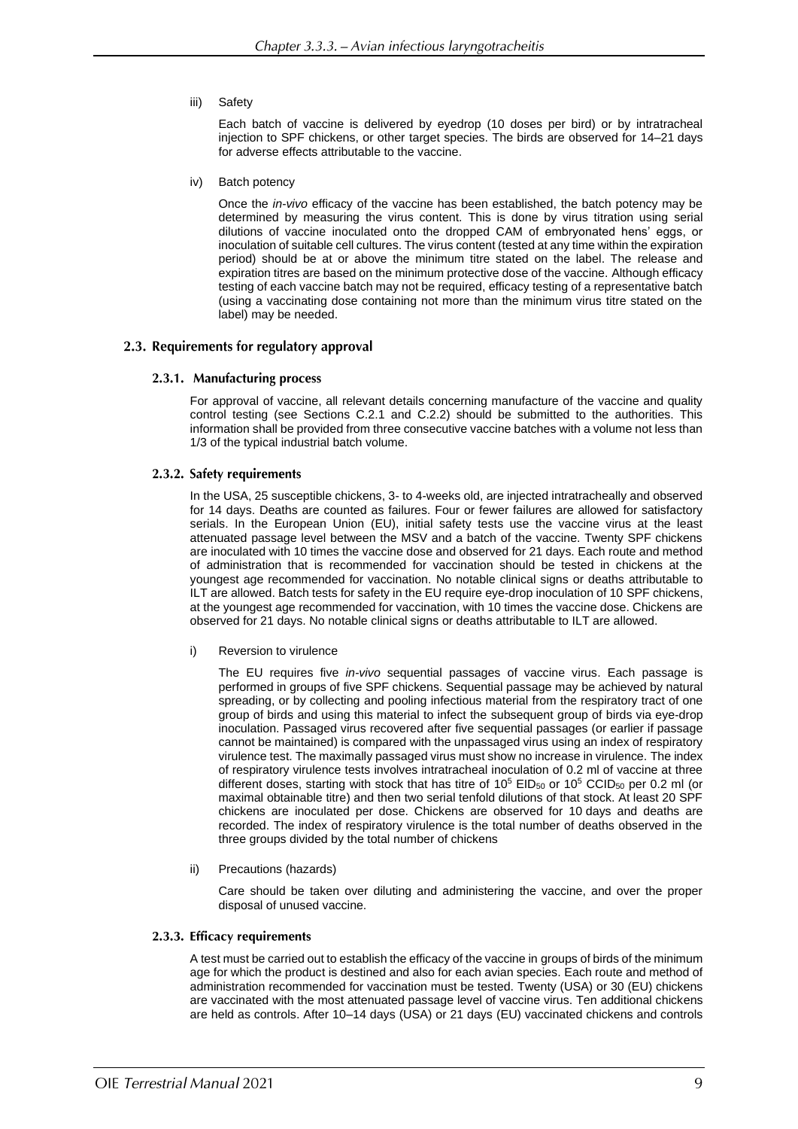iii) Safety

Each batch of vaccine is delivered by eyedrop (10 doses per bird) or by intratracheal injection to SPF chickens, or other target species. The birds are observed for 14–21 days for adverse effects attributable to the vaccine.

iv) Batch potency

Once the *in-vivo* efficacy of the vaccine has been established, the batch potency may be determined by measuring the virus content. This is done by virus titration using serial dilutions of vaccine inoculated onto the dropped CAM of embryonated hens' eggs, or inoculation of suitable cell cultures. The virus content (tested at any time within the expiration period) should be at or above the minimum titre stated on the label. The release and expiration titres are based on the minimum protective dose of the vaccine. Although efficacy testing of each vaccine batch may not be required, efficacy testing of a representative batch (using a vaccinating dose containing not more than the minimum virus titre stated on the label) may be needed.

#### 2.3. Requirements for regulatory approval

#### 2.3.1. Manufacturing process

For approval of vaccine, all relevant details concerning manufacture of the vaccine and quality control testing (see Sections C.2.1 and C.2.2) should be submitted to the authorities. This information shall be provided from three consecutive vaccine batches with a volume not less than 1/3 of the typical industrial batch volume.

#### 2.3.2. Safety requirements

In the USA, 25 susceptible chickens, 3- to 4-weeks old, are injected intratracheally and observed for 14 days. Deaths are counted as failures. Four or fewer failures are allowed for satisfactory serials. In the European Union (EU), initial safety tests use the vaccine virus at the least attenuated passage level between the MSV and a batch of the vaccine. Twenty SPF chickens are inoculated with 10 times the vaccine dose and observed for 21 days. Each route and method of administration that is recommended for vaccination should be tested in chickens at the youngest age recommended for vaccination. No notable clinical signs or deaths attributable to ILT are allowed. Batch tests for safety in the EU require eye-drop inoculation of 10 SPF chickens, at the youngest age recommended for vaccination, with 10 times the vaccine dose. Chickens are observed for 21 days. No notable clinical signs or deaths attributable to ILT are allowed.

i) Reversion to virulence

The EU requires five *in-vivo* sequential passages of vaccine virus. Each passage is performed in groups of five SPF chickens. Sequential passage may be achieved by natural spreading, or by collecting and pooling infectious material from the respiratory tract of one group of birds and using this material to infect the subsequent group of birds via eye-drop inoculation. Passaged virus recovered after five sequential passages (or earlier if passage cannot be maintained) is compared with the unpassaged virus using an index of respiratory virulence test. The maximally passaged virus must show no increase in virulence. The index of respiratory virulence tests involves intratracheal inoculation of 0.2 ml of vaccine at three different doses, starting with stock that has titre of 10<sup>5</sup> EID<sub>50</sub> or 10<sup>5</sup> CCID<sub>50</sub> per 0.2 ml (or maximal obtainable titre) and then two serial tenfold dilutions of that stock. At least 20 SPF chickens are inoculated per dose. Chickens are observed for 10 days and deaths are recorded. The index of respiratory virulence is the total number of deaths observed in the three groups divided by the total number of chickens

ii) Precautions (hazards)

Care should be taken over diluting and administering the vaccine, and over the proper disposal of unused vaccine.

#### 2.3.3. Efficacy requirements

A test must be carried out to establish the efficacy of the vaccine in groups of birds of the minimum age for which the product is destined and also for each avian species. Each route and method of administration recommended for vaccination must be tested. Twenty (USA) or 30 (EU) chickens are vaccinated with the most attenuated passage level of vaccine virus. Ten additional chickens are held as controls. After 10–14 days (USA) or 21 days (EU) vaccinated chickens and controls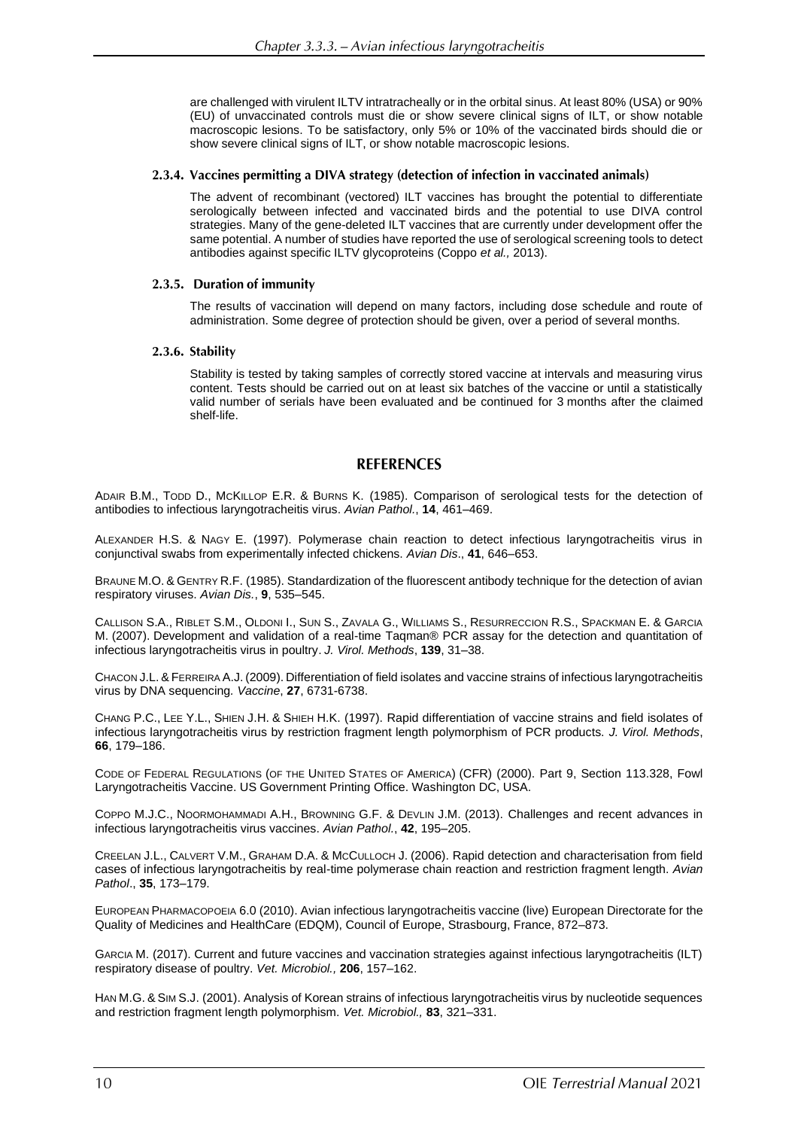are challenged with virulent ILTV intratracheally or in the orbital sinus. At least 80% (USA) or 90% (EU) of unvaccinated controls must die or show severe clinical signs of ILT, or show notable macroscopic lesions. To be satisfactory, only 5% or 10% of the vaccinated birds should die or show severe clinical signs of ILT, or show notable macroscopic lesions.

#### 2.3.4. Vaccines permitting a DIVA strategy (detection of infection in vaccinated animals)

The advent of recombinant (vectored) ILT vaccines has brought the potential to differentiate serologically between infected and vaccinated birds and the potential to use DIVA control strategies. Many of the gene-deleted ILT vaccines that are currently under development offer the same potential. A number of studies have reported the use of serological screening tools to detect antibodies against specific ILTV glycoproteins (Coppo *et al.,* 2013).

#### 2.3.5. Duration of immunity

The results of vaccination will depend on many factors, including dose schedule and route of administration. Some degree of protection should be given, over a period of several months.

#### 2.3.6. Stability

Stability is tested by taking samples of correctly stored vaccine at intervals and measuring virus content. Tests should be carried out on at least six batches of the vaccine or until a statistically valid number of serials have been evaluated and be continued for 3 months after the claimed shelf-life.

# **REFERENCES**

ADAIR B.M., TODD D., MCKILLOP E.R. & BURNS K. (1985). Comparison of serological tests for the detection of antibodies to infectious laryngotracheitis virus. *Avian Pathol.*, **14**, 461–469.

ALEXANDER H.S. & NAGY E. (1997). Polymerase chain reaction to detect infectious laryngotracheitis virus in conjunctival swabs from experimentally infected chickens. *Avian Dis*., **41**, 646–653.

BRAUNE M.O. & GENTRY R.F. (1985). Standardization of the fluorescent antibody technique for the detection of avian respiratory viruses. *Avian Dis.*, **9**, 535–545.

CALLISON S.A., RIBLET S.M., OLDONI I., SUN S., ZAVALA G., WILLIAMS S., RESURRECCION R.S., SPACKMAN E. & GARCIA M. (2007). Development and validation of a real-time Taqman® PCR assay for the detection and quantitation of infectious laryngotracheitis virus in poultry. *J. Virol. Methods*, **139**, 31–38.

CHACON J.L. & FERREIRA A.J. (2009). Differentiation of field isolates and vaccine strains of infectious laryngotracheitis virus by DNA sequencing*. Vaccine*, **27**, 6731-6738.

CHANG P.C., LEE Y.L., SHIEN J.H. & SHIEH H.K. (1997). Rapid differentiation of vaccine strains and field isolates of infectious laryngotracheitis virus by restriction fragment length polymorphism of PCR products. *J. Virol. Methods*, **66**, 179–186.

CODE OF FEDERAL REGULATIONS (OF THE UNITED STATES OF AMERICA) (CFR) (2000). Part 9, Section 113.328, Fowl Laryngotracheitis Vaccine. US Government Printing Office. Washington DC, USA.

COPPO M.J.C., NOORMOHAMMADI A.H., BROWNING G.F. & DEVLIN J.M. (2013). Challenges and recent advances in infectious laryngotracheitis virus vaccines. *Avian Pathol.*, **42**, 195–205.

CREELAN J.L., CALVERT V.M., GRAHAM D.A. & MCCULLOCH J. (2006). Rapid detection and characterisation from field cases of infectious laryngotracheitis by real-time polymerase chain reaction and restriction fragment length. *Avian Pathol*., **35**, 173–179.

EUROPEAN PHARMACOPOEIA 6.0 (2010). Avian infectious laryngotracheitis vaccine (live) European Directorate for the Quality of Medicines and HealthCare (EDQM), Council of Europe, Strasbourg, France, 872–873.

GARCIA M. (2017). Current and future vaccines and vaccination strategies against infectious laryngotracheitis (ILT) respiratory disease of poultry. *Vet. Microbiol.,* **206**, 157–162.

HAN M.G. & SIM S.J. (2001). Analysis of Korean strains of infectious laryngotracheitis virus by nucleotide sequences and restriction fragment length polymorphism. *Vet. Microbiol.,* **83**, 321–331.